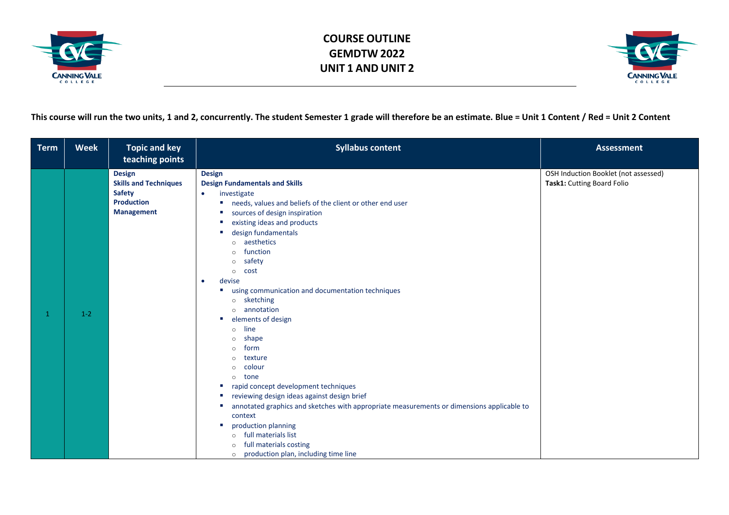



**This course will run the two units, 1 and 2, concurrently. The student Semester 1 grade will therefore be an estimate. Blue = Unit 1 Content / Red = Unit 2 Content**

| <b>Term</b>  | <b>Week</b> | <b>Topic and key</b><br>teaching points                                                                  | <b>Syllabus content</b>                                                                                                                                                                                                                                                                                                                                                                                                                                                                                                                                                                                                                                                                                                                                                                                                                                                                                                                                                                                                                    | <b>Assessment</b>                                                  |
|--------------|-------------|----------------------------------------------------------------------------------------------------------|--------------------------------------------------------------------------------------------------------------------------------------------------------------------------------------------------------------------------------------------------------------------------------------------------------------------------------------------------------------------------------------------------------------------------------------------------------------------------------------------------------------------------------------------------------------------------------------------------------------------------------------------------------------------------------------------------------------------------------------------------------------------------------------------------------------------------------------------------------------------------------------------------------------------------------------------------------------------------------------------------------------------------------------------|--------------------------------------------------------------------|
| $\mathbf{1}$ | $1 - 2$     | <b>Design</b><br><b>Skills and Techniques</b><br><b>Safety</b><br><b>Production</b><br><b>Management</b> | <b>Design</b><br><b>Design Fundamentals and Skills</b><br>investigate<br>$\bullet$<br>needs, values and beliefs of the client or other end user<br>sources of design inspiration<br>$\sim$<br>existing ideas and products<br><b>COL</b><br>design fundamentals<br>aesthetics<br>$\Omega$<br>function<br>$\Omega$<br>safety<br>$\circ$<br>cost<br>$\circ$<br>devise<br>$\bullet$<br>using communication and documentation techniques<br>sketching<br>$\circ$<br>annotation<br>$\Omega$<br>elements of design<br><b>COL</b><br>line<br>$\Omega$<br>shape<br>$\circ$<br>form<br>$\circ$<br>texture<br>$\Omega$<br>colour<br>$\Omega$<br>tone<br>$\Omega$<br>rapid concept development techniques<br>$\sim$<br>reviewing design ideas against design brief<br>$\sim$<br>annotated graphics and sketches with appropriate measurements or dimensions applicable to<br><b>COL</b><br>context<br>production planning<br>$\sim$<br>full materials list<br>$\Omega$<br>full materials costing<br>$\Omega$<br>o production plan, including time line | OSH Induction Booklet (not assessed)<br>Task1: Cutting Board Folio |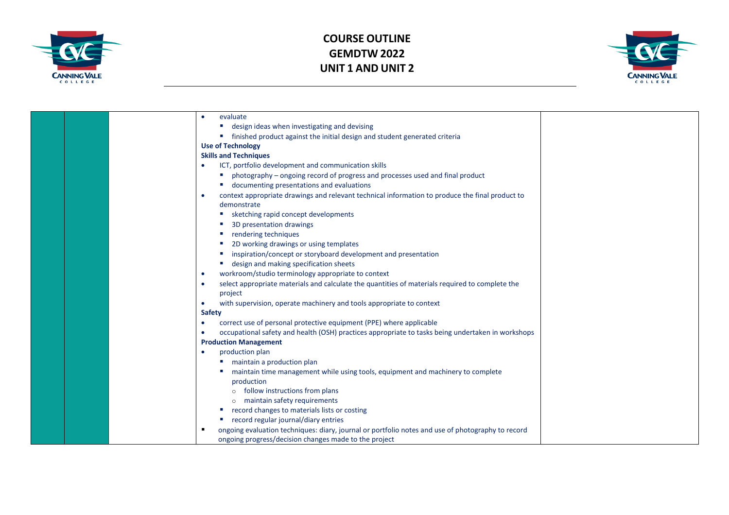



|  | evaluate                                                                                                     |  |
|--|--------------------------------------------------------------------------------------------------------------|--|
|  | design ideas when investigating and devising<br>$\sim$                                                       |  |
|  | " finished product against the initial design and student generated criteria                                 |  |
|  | <b>Use of Technology</b>                                                                                     |  |
|  | <b>Skills and Techniques</b>                                                                                 |  |
|  | ICT, portfolio development and communication skills                                                          |  |
|  | photography - ongoing record of progress and processes used and final product                                |  |
|  | ■ documenting presentations and evaluations                                                                  |  |
|  | context appropriate drawings and relevant technical information to produce the final product to              |  |
|  | demonstrate                                                                                                  |  |
|  | ■ sketching rapid concept developments                                                                       |  |
|  | 3D presentation drawings                                                                                     |  |
|  | rendering techniques<br>$\sim$                                                                               |  |
|  | 2D working drawings or using templates<br>and the                                                            |  |
|  | inspiration/concept or storyboard development and presentation                                               |  |
|  | ■ design and making specification sheets                                                                     |  |
|  | workroom/studio terminology appropriate to context                                                           |  |
|  | select appropriate materials and calculate the quantities of materials required to complete the<br>$\bullet$ |  |
|  | project                                                                                                      |  |
|  | with supervision, operate machinery and tools appropriate to context<br>$\bullet$                            |  |
|  | <b>Safety</b>                                                                                                |  |
|  | correct use of personal protective equipment (PPE) where applicable<br>$\bullet$                             |  |
|  | occupational safety and health (OSH) practices appropriate to tasks being undertaken in workshops            |  |
|  | <b>Production Management</b>                                                                                 |  |
|  | production plan                                                                                              |  |
|  | maintain a production plan                                                                                   |  |
|  | maintain time management while using tools, equipment and machinery to complete                              |  |
|  | production                                                                                                   |  |
|  | follow instructions from plans                                                                               |  |
|  | o maintain safety requirements                                                                               |  |
|  | record changes to materials lists or costing<br>$\sim$                                                       |  |
|  | ■ record regular journal/diary entries                                                                       |  |
|  | ongoing evaluation techniques: diary, journal or portfolio notes and use of photography to record            |  |
|  | ongoing progress/decision changes made to the project                                                        |  |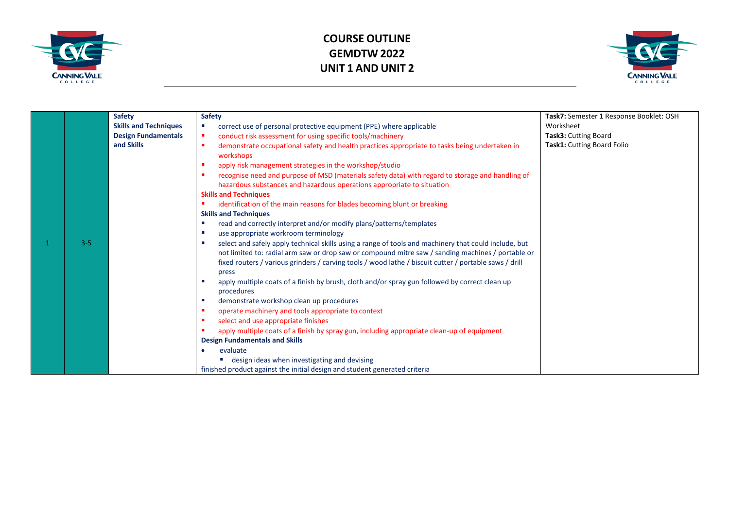



|         | <b>Safety</b>                | <b>Safety</b>                                                                                                                                                                                                                                                                                                                      | Task7: Semester 1 Response Booklet: OSH |
|---------|------------------------------|------------------------------------------------------------------------------------------------------------------------------------------------------------------------------------------------------------------------------------------------------------------------------------------------------------------------------------|-----------------------------------------|
|         | <b>Skills and Techniques</b> | correct use of personal protective equipment (PPE) where applicable<br>ш                                                                                                                                                                                                                                                           | Worksheet                               |
|         | <b>Design Fundamentals</b>   | conduct risk assessment for using specific tools/machinery<br>٠                                                                                                                                                                                                                                                                    | <b>Task3: Cutting Board</b>             |
|         | and Skills                   | demonstrate occupational safety and health practices appropriate to tasks being undertaken in<br>п<br>workshops                                                                                                                                                                                                                    | Task1: Cutting Board Folio              |
|         |                              | apply risk management strategies in the workshop/studio                                                                                                                                                                                                                                                                            |                                         |
|         |                              | recognise need and purpose of MSD (materials safety data) with regard to storage and handling of<br>hazardous substances and hazardous operations appropriate to situation                                                                                                                                                         |                                         |
|         |                              | <b>Skills and Techniques</b>                                                                                                                                                                                                                                                                                                       |                                         |
|         |                              | identification of the main reasons for blades becoming blunt or breaking                                                                                                                                                                                                                                                           |                                         |
|         |                              | <b>Skills and Techniques</b>                                                                                                                                                                                                                                                                                                       |                                         |
|         |                              | read and correctly interpret and/or modify plans/patterns/templates<br>×                                                                                                                                                                                                                                                           |                                         |
|         |                              | use appropriate workroom terminology<br><b>CO</b>                                                                                                                                                                                                                                                                                  |                                         |
| $3 - 5$ |                              | select and safely apply technical skills using a range of tools and machinery that could include, but<br>ш<br>not limited to: radial arm saw or drop saw or compound mitre saw / sanding machines / portable or<br>fixed routers / various grinders / carving tools / wood lathe / biscuit cutter / portable saws / drill<br>press |                                         |
|         |                              | apply multiple coats of a finish by brush, cloth and/or spray gun followed by correct clean up<br>п<br>procedures                                                                                                                                                                                                                  |                                         |
|         |                              | demonstrate workshop clean up procedures<br><b>CO</b>                                                                                                                                                                                                                                                                              |                                         |
|         |                              | operate machinery and tools appropriate to context<br>п                                                                                                                                                                                                                                                                            |                                         |
|         |                              | select and use appropriate finishes<br>п                                                                                                                                                                                                                                                                                           |                                         |
|         |                              | apply multiple coats of a finish by spray gun, including appropriate clean-up of equipment                                                                                                                                                                                                                                         |                                         |
|         |                              | <b>Design Fundamentals and Skills</b>                                                                                                                                                                                                                                                                                              |                                         |
|         |                              | evaluate                                                                                                                                                                                                                                                                                                                           |                                         |
|         |                              | design ideas when investigating and devising                                                                                                                                                                                                                                                                                       |                                         |
|         |                              | finished product against the initial design and student generated criteria                                                                                                                                                                                                                                                         |                                         |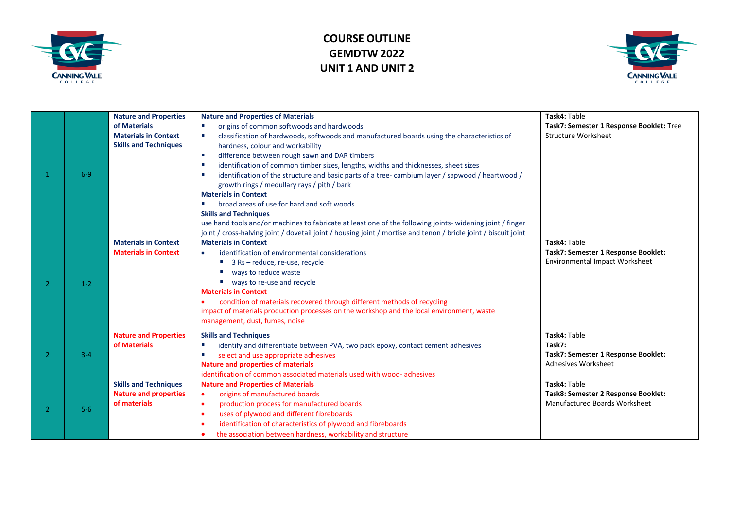



|    |         | <b>Nature and Properties</b><br>of Materials<br><b>Materials in Context</b><br><b>Skills and Techniques</b> | <b>Nature and Properties of Materials</b><br>origins of common softwoods and hardwoods<br><b>COL</b><br>classification of hardwoods, softwoods and manufactured boards using the characteristics of<br>п<br>hardness, colour and workability<br>difference between rough sawn and DAR timbers<br>×<br>identification of common timber sizes, lengths, widths and thicknesses, sheet sizes<br>×                                                                                                   | Task4: Table<br>Task7: Semester 1 Response Booklet: Tree<br><b>Structure Worksheet</b>      |
|----|---------|-------------------------------------------------------------------------------------------------------------|--------------------------------------------------------------------------------------------------------------------------------------------------------------------------------------------------------------------------------------------------------------------------------------------------------------------------------------------------------------------------------------------------------------------------------------------------------------------------------------------------|---------------------------------------------------------------------------------------------|
|    | $6-9$   |                                                                                                             | identification of the structure and basic parts of a tree-cambium layer / sapwood / heartwood /<br>п<br>growth rings / medullary rays / pith / bark<br><b>Materials in Context</b><br>broad areas of use for hard and soft woods<br><b>Skills and Techniques</b><br>use hand tools and/or machines to fabricate at least one of the following joints- widening joint / finger<br>joint / cross-halving joint / dovetail joint / housing joint / mortise and tenon / bridle joint / biscuit joint |                                                                                             |
| っ  | $1 - 2$ | <b>Materials in Context</b><br><b>Materials in Context</b>                                                  | <b>Materials in Context</b><br>identification of environmental considerations<br>$\bullet$<br>■ 3 Rs - reduce, re-use, recycle<br>ways to reduce waste<br>ways to re-use and recycle<br><b>Contract</b><br><b>Materials in Context</b><br>condition of materials recovered through different methods of recycling<br>impact of materials production processes on the workshop and the local environment, waste<br>management, dust, fumes, noise                                                 | Task4: Table<br>Task7: Semester 1 Response Booklet:<br>Environmental Impact Worksheet       |
| -2 | $3 - 4$ | <b>Nature and Properties</b><br>of Materials                                                                | <b>Skills and Techniques</b><br>identify and differentiate between PVA, two pack epoxy, contact cement adhesives<br>select and use appropriate adhesives<br>×<br><b>Nature and properties of materials</b><br>identification of common associated materials used with wood- adhesives                                                                                                                                                                                                            | Task4: Table<br>Task7:<br>Task7: Semester 1 Response Booklet:<br>Adhesives Worksheet        |
| 2  | $5-6$   | <b>Skills and Techniques</b><br><b>Nature and properties</b><br>of materials                                | <b>Nature and Properties of Materials</b><br>origins of manufactured boards<br>$\bullet$<br>production process for manufactured boards<br>$\bullet$<br>uses of plywood and different fibreboards<br>identification of characteristics of plywood and fibreboards<br>the association between hardness, workability and structure                                                                                                                                                                  | Task4: Table<br>Task8: Semester 2 Response Booklet:<br><b>Manufactured Boards Worksheet</b> |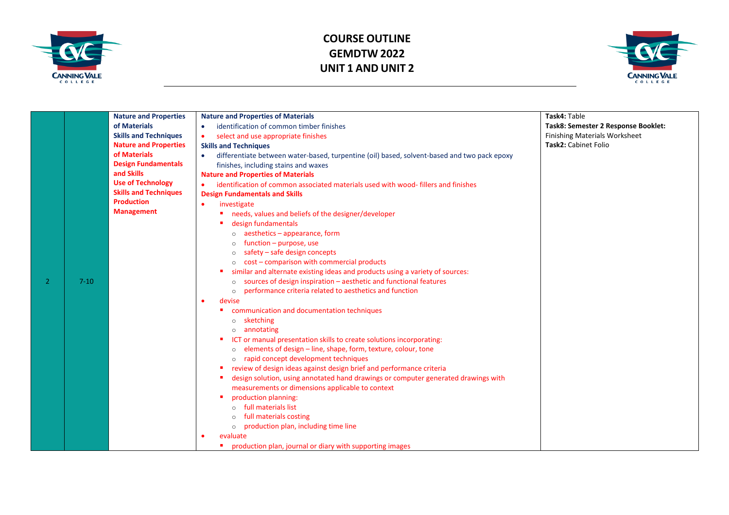



|   |          | <b>Nature and Properties</b> | <b>Nature and Properties of Materials</b>                                                   | Task4: Table                         |
|---|----------|------------------------------|---------------------------------------------------------------------------------------------|--------------------------------------|
|   |          | of Materials                 | identification of common timber finishes<br>$\bullet$                                       | Task8: Semester 2 Response Booklet:  |
|   |          | <b>Skills and Techniques</b> | select and use appropriate finishes<br>$\bullet$                                            | <b>Finishing Materials Worksheet</b> |
|   |          | <b>Nature and Properties</b> | <b>Skills and Techniques</b>                                                                | Task2: Cabinet Folio                 |
|   |          | of Materials                 | differentiate between water-based, turpentine (oil) based, solvent-based and two pack epoxy |                                      |
|   |          | <b>Design Fundamentals</b>   | finishes, including stains and waxes                                                        |                                      |
|   |          | and Skills                   | <b>Nature and Properties of Materials</b>                                                   |                                      |
|   |          | <b>Use of Technology</b>     | identification of common associated materials used with wood-fillers and finishes<br>٠      |                                      |
|   |          | <b>Skills and Techniques</b> | <b>Design Fundamentals and Skills</b>                                                       |                                      |
|   |          | <b>Production</b>            | investigate<br>$\bullet$                                                                    |                                      |
|   |          | <b>Management</b>            | needs, values and beliefs of the designer/developer                                         |                                      |
|   |          |                              | design fundamentals                                                                         |                                      |
|   |          |                              | aesthetics - appearance, form                                                               |                                      |
|   |          |                              | function - purpose, use                                                                     |                                      |
|   |          |                              | safety - safe design concepts                                                               |                                      |
|   |          |                              | cost - comparison with commercial products                                                  |                                      |
|   |          |                              | similar and alternate existing ideas and products using a variety of sources:               |                                      |
| 2 | $7 - 10$ |                              | sources of design inspiration - aesthetic and functional features                           |                                      |
|   |          |                              | performance criteria related to aesthetics and function<br>$\circ$                          |                                      |
|   |          |                              | devise<br>$\bullet$                                                                         |                                      |
|   |          |                              | communication and documentation techniques                                                  |                                      |
|   |          |                              | o sketching                                                                                 |                                      |
|   |          |                              | annotating                                                                                  |                                      |
|   |          |                              | ICT or manual presentation skills to create solutions incorporating:                        |                                      |
|   |          |                              | elements of design - line, shape, form, texture, colour, tone<br>$\circ$                    |                                      |
|   |          |                              | o rapid concept development techniques                                                      |                                      |
|   |          |                              | review of design ideas against design brief and performance criteria                        |                                      |
|   |          |                              | design solution, using annotated hand drawings or computer generated drawings with          |                                      |
|   |          |                              | measurements or dimensions applicable to context                                            |                                      |
|   |          |                              | production planning:                                                                        |                                      |
|   |          |                              | o full materials list                                                                       |                                      |
|   |          |                              | full materials costing                                                                      |                                      |
|   |          |                              | production plan, including time line<br>$\circ$                                             |                                      |
|   |          |                              | evaluate                                                                                    |                                      |
|   |          |                              | production plan, journal or diary with supporting images                                    |                                      |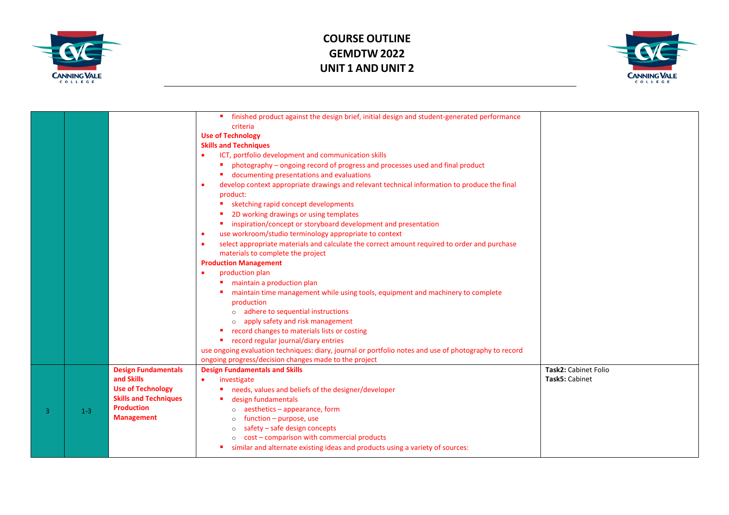



|   |       |                                                                                                                                                | finished product against the design brief, initial design and student-generated performance<br>criteria<br><b>Use of Technology</b><br><b>Skills and Techniques</b><br>ICT, portfolio development and communication skills<br>photography - ongoing record of progress and processes used and final product<br>documenting presentations and evaluations<br>develop context appropriate drawings and relevant technical information to produce the final<br>product:<br>sketching rapid concept developments<br>2D working drawings or using templates<br>inspiration/concept or storyboard development and presentation<br>٠<br>use workroom/studio terminology appropriate to context<br>select appropriate materials and calculate the correct amount required to order and purchase<br>$\bullet$<br>materials to complete the project<br><b>Production Management</b><br>production plan<br>maintain a production plan<br>maintain time management while using tools, equipment and machinery to complete<br>production<br>o adhere to sequential instructions<br>apply safety and risk management<br>record changes to materials lists or costing<br>■ record regular journal/diary entries<br>use ongoing evaluation techniques: diary, journal or portfolio notes and use of photography to record<br>ongoing progress/decision changes made to the project |                                        |
|---|-------|------------------------------------------------------------------------------------------------------------------------------------------------|--------------------------------------------------------------------------------------------------------------------------------------------------------------------------------------------------------------------------------------------------------------------------------------------------------------------------------------------------------------------------------------------------------------------------------------------------------------------------------------------------------------------------------------------------------------------------------------------------------------------------------------------------------------------------------------------------------------------------------------------------------------------------------------------------------------------------------------------------------------------------------------------------------------------------------------------------------------------------------------------------------------------------------------------------------------------------------------------------------------------------------------------------------------------------------------------------------------------------------------------------------------------------------------------------------------------------------------------------------------------|----------------------------------------|
| 3 | $1-3$ | <b>Design Fundamentals</b><br>and Skills<br><b>Use of Technology</b><br><b>Skills and Techniques</b><br><b>Production</b><br><b>Management</b> | <b>Design Fundamentals and Skills</b><br>investigate<br>$\bullet$<br>needs, values and beliefs of the designer/developer<br>design fundamentals<br>aesthetics - appearance, form<br>function - purpose, use<br>$\circ$<br>safety - safe design concepts<br>$\circ$<br>cost - comparison with commercial products<br>$\circ$<br>similar and alternate existing ideas and products using a variety of sources:                                                                                                                                                                                                                                                                                                                                                                                                                                                                                                                                                                                                                                                                                                                                                                                                                                                                                                                                                       | Task2: Cabinet Folio<br>Task5: Cabinet |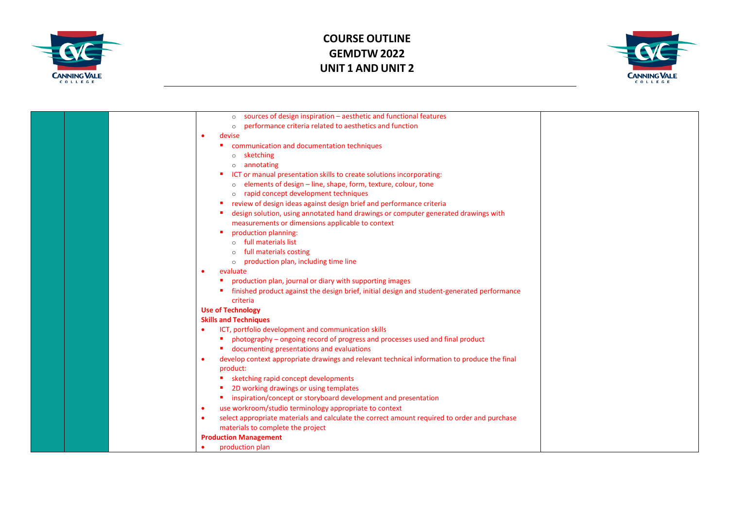



|  | o sources of design inspiration - aesthetic and functional features                                       |  |
|--|-----------------------------------------------------------------------------------------------------------|--|
|  | performance criteria related to aesthetics and function<br>$\circ$                                        |  |
|  | devise                                                                                                    |  |
|  | communication and documentation techniques                                                                |  |
|  | sketching<br>$\circ$                                                                                      |  |
|  | annotating                                                                                                |  |
|  | ICT or manual presentation skills to create solutions incorporating:                                      |  |
|  | elements of design - line, shape, form, texture, colour, tone<br>$\circ$                                  |  |
|  | rapid concept development techniques<br>$\circ$                                                           |  |
|  | review of design ideas against design brief and performance criteria                                      |  |
|  | design solution, using annotated hand drawings or computer generated drawings with                        |  |
|  | measurements or dimensions applicable to context                                                          |  |
|  | production planning:                                                                                      |  |
|  | full materials list                                                                                       |  |
|  | full materials costing                                                                                    |  |
|  | production plan, including time line<br>$\circ$                                                           |  |
|  | evaluate                                                                                                  |  |
|  | production plan, journal or diary with supporting images                                                  |  |
|  | finished product against the design brief, initial design and student-generated performance               |  |
|  | criteria                                                                                                  |  |
|  | <b>Use of Technology</b>                                                                                  |  |
|  | <b>Skills and Techniques</b>                                                                              |  |
|  | ICT, portfolio development and communication skills                                                       |  |
|  | photography - ongoing record of progress and processes used and final product                             |  |
|  | documenting presentations and evaluations                                                                 |  |
|  | develop context appropriate drawings and relevant technical information to produce the final<br>$\bullet$ |  |
|  | product:                                                                                                  |  |
|  | sketching rapid concept developments                                                                      |  |
|  | 2D working drawings or using templates                                                                    |  |
|  | inspiration/concept or storyboard development and presentation                                            |  |
|  | use workroom/studio terminology appropriate to context<br>$\bullet$                                       |  |
|  | select appropriate materials and calculate the correct amount required to order and purchase<br>$\bullet$ |  |
|  | materials to complete the project                                                                         |  |
|  | <b>Production Management</b>                                                                              |  |
|  | production plan                                                                                           |  |
|  |                                                                                                           |  |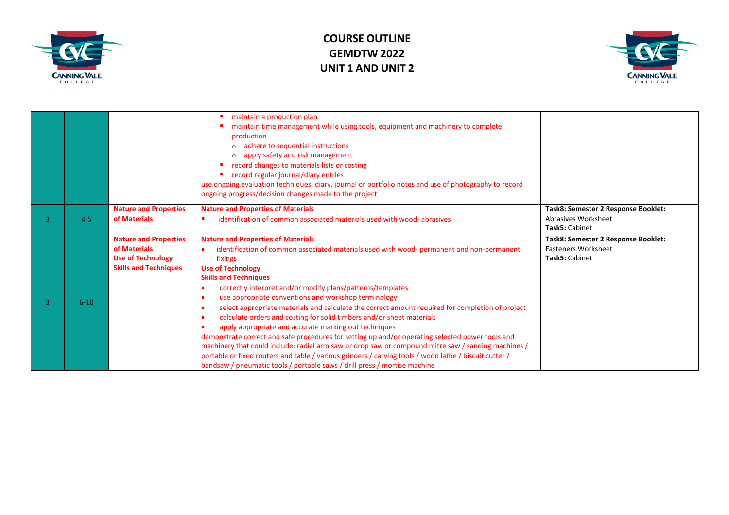



|   |          |                                                                                                          | maintain a production plan<br>maintain time management while using tools, equipment and machinery to complete<br>production<br>adhere to sequential instructions<br>apply safety and risk management<br>record changes to materials lists or costing<br>record regular journal/diary entries<br>use ongoing evaluation techniques: diary, journal or portfolio notes and use of photography to record<br>ongoing progress/decision changes made to the project                                                                                                                                                                                                                                                                                                                                                                                                                                                                                                                           |                                                                                     |
|---|----------|----------------------------------------------------------------------------------------------------------|------------------------------------------------------------------------------------------------------------------------------------------------------------------------------------------------------------------------------------------------------------------------------------------------------------------------------------------------------------------------------------------------------------------------------------------------------------------------------------------------------------------------------------------------------------------------------------------------------------------------------------------------------------------------------------------------------------------------------------------------------------------------------------------------------------------------------------------------------------------------------------------------------------------------------------------------------------------------------------------|-------------------------------------------------------------------------------------|
|   |          | <b>Nature and Properties</b>                                                                             | <b>Nature and Properties of Materials</b>                                                                                                                                                                                                                                                                                                                                                                                                                                                                                                                                                                                                                                                                                                                                                                                                                                                                                                                                                | Task8: Semester 2 Response Booklet:                                                 |
| 3 | $4 - 5$  | of Materials                                                                                             | identification of common associated materials used with wood-abrasives                                                                                                                                                                                                                                                                                                                                                                                                                                                                                                                                                                                                                                                                                                                                                                                                                                                                                                                   | Abrasives Worksheet                                                                 |
|   |          |                                                                                                          |                                                                                                                                                                                                                                                                                                                                                                                                                                                                                                                                                                                                                                                                                                                                                                                                                                                                                                                                                                                          | Task5: Cabinet                                                                      |
| 3 | $6 - 10$ | <b>Nature and Properties</b><br>of Materials<br><b>Use of Technology</b><br><b>Skills and Techniques</b> | <b>Nature and Properties of Materials</b><br>identification of common associated materials used with wood- permanent and non-permanent<br>fixings<br><b>Use of Technology</b><br><b>Skills and Techniques</b><br>correctly interpret and/or modify plans/patterns/templates<br>use appropriate conventions and workshop terminology<br>select appropriate materials and calculate the correct amount required for completion of project<br>$\bullet$<br>calculate orders and costing for solid timbers and/or sheet materials<br>apply appropriate and accurate marking out techniques<br>demonstrate correct and safe procedures for setting up and/or operating selected power tools and<br>machinery that could include: radial arm saw or drop saw or compound mitre saw / sanding machines /<br>portable or fixed routers and table / various grinders / carving tools / wood lathe / biscuit cutter /<br>bandsaw / pneumatic tools / portable saws / drill press / mortise machine | Task8: Semester 2 Response Booklet:<br><b>Fasteners Worksheet</b><br>Task5: Cabinet |